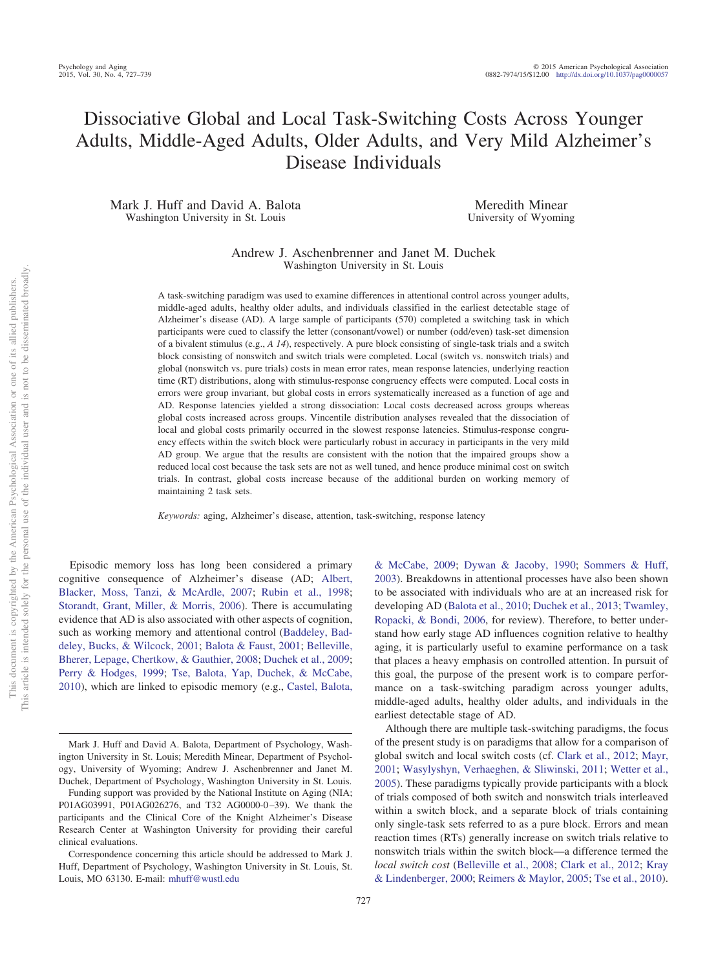# Dissociative Global and Local Task-Switching Costs Across Younger Adults, Middle-Aged Adults, Older Adults, and Very Mild Alzheimer's Disease Individuals

Mark J. Huff and David A. Balota Washington University in St. Louis

Meredith Minear University of Wyoming

Andrew J. Aschenbrenner and Janet M. Duchek Washington University in St. Louis

A task-switching paradigm was used to examine differences in attentional control across younger adults, middle-aged adults, healthy older adults, and individuals classified in the earliest detectable stage of Alzheimer's disease (AD). A large sample of participants (570) completed a switching task in which participants were cued to classify the letter (consonant/vowel) or number (odd/even) task-set dimension of a bivalent stimulus (e.g., *A 14*), respectively. A pure block consisting of single-task trials and a switch block consisting of nonswitch and switch trials were completed. Local (switch vs. nonswitch trials) and global (nonswitch vs. pure trials) costs in mean error rates, mean response latencies, underlying reaction time (RT) distributions, along with stimulus-response congruency effects were computed. Local costs in errors were group invariant, but global costs in errors systematically increased as a function of age and AD. Response latencies yielded a strong dissociation: Local costs decreased across groups whereas global costs increased across groups. Vincentile distribution analyses revealed that the dissociation of local and global costs primarily occurred in the slowest response latencies. Stimulus-response congruency effects within the switch block were particularly robust in accuracy in participants in the very mild AD group. We argue that the results are consistent with the notion that the impaired groups show a reduced local cost because the task sets are not as well tuned, and hence produce minimal cost on switch trials. In contrast, global costs increase because of the additional burden on working memory of maintaining 2 task sets.

*Keywords:* aging, Alzheimer's disease, attention, task-switching, response latency

Episodic memory loss has long been considered a primary cognitive consequence of Alzheimer's disease (AD; [Albert,](#page-11-0) [Blacker, Moss, Tanzi, & McArdle, 2007;](#page-11-0) [Rubin et al., 1998;](#page-12-0) [Storandt, Grant, Miller, & Morris, 2006\)](#page-12-1). There is accumulating evidence that AD is also associated with other aspects of cognition, such as working memory and attentional control [\(Baddeley, Bad](#page-11-1)[deley, Bucks, & Wilcock, 2001;](#page-11-1) [Balota & Faust, 2001;](#page-11-2) [Belleville,](#page-11-3) [Bherer, Lepage, Chertkow, & Gauthier, 2008;](#page-11-3) [Duchek et al., 2009;](#page-11-4) [Perry & Hodges, 1999;](#page-12-2) [Tse, Balota, Yap, Duchek, & McCabe,](#page-12-3) [2010\)](#page-12-3), which are linked to episodic memory (e.g., [Castel, Balota,](#page-11-5)

[& McCabe, 2009;](#page-11-5) [Dywan & Jacoby, 1990;](#page-11-6) [Sommers & Huff,](#page-12-4) [2003\)](#page-12-4). Breakdowns in attentional processes have also been shown to be associated with individuals who are at an increased risk for developing AD [\(Balota et al., 2010;](#page-11-7) [Duchek et al., 2013;](#page-11-4) [Twamley,](#page-12-5) [Ropacki, & Bondi, 2006,](#page-12-5) for review). Therefore, to better understand how early stage AD influences cognition relative to healthy aging, it is particularly useful to examine performance on a task that places a heavy emphasis on controlled attention. In pursuit of this goal, the purpose of the present work is to compare performance on a task-switching paradigm across younger adults, middle-aged adults, healthy older adults, and individuals in the earliest detectable stage of AD.

Although there are multiple task-switching paradigms, the focus of the present study is on paradigms that allow for a comparison of global switch and local switch costs (cf. [Clark et al., 2012;](#page-11-8) [Mayr,](#page-12-6) [2001;](#page-12-6) [Wasylyshyn, Verhaeghen, & Sliwinski, 2011;](#page-12-7) [Wetter et al.,](#page-12-8) [2005\)](#page-12-8). These paradigms typically provide participants with a block of trials composed of both switch and nonswitch trials interleaved within a switch block, and a separate block of trials containing only single-task sets referred to as a pure block. Errors and mean reaction times (RTs) generally increase on switch trials relative to nonswitch trials within the switch block—a difference termed the *local switch cost* [\(Belleville et al., 2008;](#page-11-3) [Clark et al., 2012;](#page-11-8) [Kray](#page-11-9) [& Lindenberger, 2000;](#page-11-9) [Reimers & Maylor, 2005;](#page-12-9) [Tse et al., 2010\)](#page-12-3).

Mark J. Huff and David A. Balota, Department of Psychology, Washington University in St. Louis; Meredith Minear, Department of Psychology, University of Wyoming; Andrew J. Aschenbrenner and Janet M. Duchek, Department of Psychology, Washington University in St. Louis.

Funding support was provided by the National Institute on Aging (NIA; P01AG03991, P01AG026276, and T32 AG0000-0-39). We thank the participants and the Clinical Core of the Knight Alzheimer's Disease Research Center at Washington University for providing their careful clinical evaluations.

Correspondence concerning this article should be addressed to Mark J. Huff, Department of Psychology, Washington University in St. Louis, St. Louis, MO 63130. E-mail: [mhuff@wustl.edu](mailto:mhuff@wustl.edu)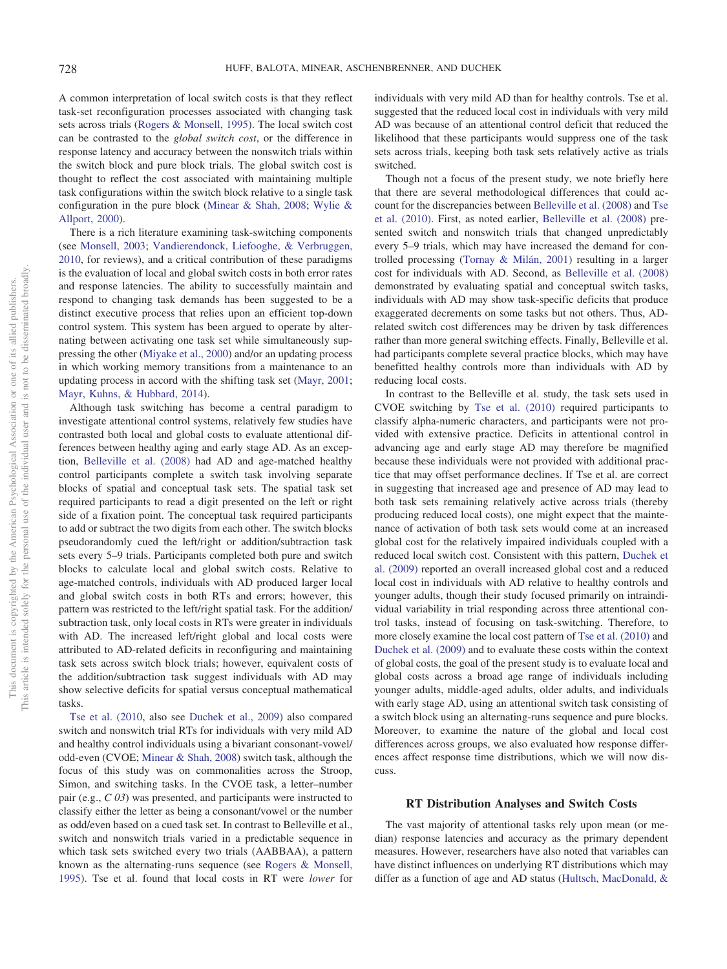A common interpretation of local switch costs is that they reflect task-set reconfiguration processes associated with changing task sets across trials [\(Rogers & Monsell, 1995\)](#page-12-10). The local switch cost can be contrasted to the *global switch cost*, or the difference in response latency and accuracy between the nonswitch trials within the switch block and pure block trials. The global switch cost is thought to reflect the cost associated with maintaining multiple task configurations within the switch block relative to a single task configuration in the pure block [\(Minear & Shah, 2008;](#page-12-11) [Wylie &](#page-12-12) [Allport, 2000\)](#page-12-12).

There is a rich literature examining task-switching components (see [Monsell, 2003;](#page-12-13) [Vandierendonck, Liefooghe, & Verbruggen,](#page-12-14) [2010,](#page-12-14) for reviews), and a critical contribution of these paradigms is the evaluation of local and global switch costs in both error rates and response latencies. The ability to successfully maintain and respond to changing task demands has been suggested to be a distinct executive process that relies upon an efficient top-down control system. This system has been argued to operate by alternating between activating one task set while simultaneously suppressing the other [\(Miyake et al., 2000\)](#page-12-15) and/or an updating process in which working memory transitions from a maintenance to an updating process in accord with the shifting task set [\(Mayr, 2001;](#page-12-6) [Mayr, Kuhns, & Hubbard, 2014\)](#page-12-16).

Although task switching has become a central paradigm to investigate attentional control systems, relatively few studies have contrasted both local and global costs to evaluate attentional differences between healthy aging and early stage AD. As an exception, [Belleville et al. \(2008\)](#page-11-3) had AD and age-matched healthy control participants complete a switch task involving separate blocks of spatial and conceptual task sets. The spatial task set required participants to read a digit presented on the left or right side of a fixation point. The conceptual task required participants to add or subtract the two digits from each other. The switch blocks pseudorandomly cued the left/right or addition/subtraction task sets every 5–9 trials. Participants completed both pure and switch blocks to calculate local and global switch costs. Relative to age-matched controls, individuals with AD produced larger local and global switch costs in both RTs and errors; however, this pattern was restricted to the left/right spatial task. For the addition/ subtraction task, only local costs in RTs were greater in individuals with AD. The increased left/right global and local costs were attributed to AD-related deficits in reconfiguring and maintaining task sets across switch block trials; however, equivalent costs of the addition/subtraction task suggest individuals with AD may show selective deficits for spatial versus conceptual mathematical tasks.

[Tse et al. \(2010,](#page-12-3) also see [Duchek et al., 2009\)](#page-11-4) also compared switch and nonswitch trial RTs for individuals with very mild AD and healthy control individuals using a bivariant consonant-vowel/ odd-even (CVOE; [Minear & Shah, 2008\)](#page-12-11) switch task, although the focus of this study was on commonalities across the Stroop, Simon, and switching tasks. In the CVOE task, a letter–number pair (e.g., *C 03*) was presented, and participants were instructed to classify either the letter as being a consonant/vowel or the number as odd/even based on a cued task set. In contrast to Belleville et al., switch and nonswitch trials varied in a predictable sequence in which task sets switched every two trials (AABBAA), a pattern known as the alternating-runs sequence (see [Rogers & Monsell,](#page-12-10) [1995\)](#page-12-10). Tse et al. found that local costs in RT were *lower* for

individuals with very mild AD than for healthy controls. Tse et al. suggested that the reduced local cost in individuals with very mild AD was because of an attentional control deficit that reduced the likelihood that these participants would suppress one of the task sets across trials, keeping both task sets relatively active as trials switched.

Though not a focus of the present study, we note briefly here that there are several methodological differences that could account for the discrepancies between [Belleville et al. \(2008\)](#page-11-3) and [Tse](#page-12-3) [et al. \(2010\).](#page-12-3) First, as noted earlier, [Belleville et al. \(2008\)](#page-11-3) presented switch and nonswitch trials that changed unpredictably every 5–9 trials, which may have increased the demand for controlled processing [\(Tornay & Milán, 2001\)](#page-12-17) resulting in a larger cost for individuals with AD. Second, as [Belleville et al. \(2008\)](#page-11-3) demonstrated by evaluating spatial and conceptual switch tasks, individuals with AD may show task-specific deficits that produce exaggerated decrements on some tasks but not others. Thus, ADrelated switch cost differences may be driven by task differences rather than more general switching effects. Finally, Belleville et al. had participants complete several practice blocks, which may have benefitted healthy controls more than individuals with AD by reducing local costs.

In contrast to the Belleville et al. study, the task sets used in CVOE switching by [Tse et al. \(2010\)](#page-12-3) required participants to classify alpha-numeric characters, and participants were not provided with extensive practice. Deficits in attentional control in advancing age and early stage AD may therefore be magnified because these individuals were not provided with additional practice that may offset performance declines. If Tse et al. are correct in suggesting that increased age and presence of AD may lead to both task sets remaining relatively active across trials (thereby producing reduced local costs), one might expect that the maintenance of activation of both task sets would come at an increased global cost for the relatively impaired individuals coupled with a reduced local switch cost. Consistent with this pattern, [Duchek et](#page-11-4) [al. \(2009\)](#page-11-4) reported an overall increased global cost and a reduced local cost in individuals with AD relative to healthy controls and younger adults, though their study focused primarily on intraindividual variability in trial responding across three attentional control tasks, instead of focusing on task-switching. Therefore, to more closely examine the local cost pattern of [Tse et al. \(2010\)](#page-12-3) and [Duchek et al. \(2009\)](#page-11-4) and to evaluate these costs within the context of global costs, the goal of the present study is to evaluate local and global costs across a broad age range of individuals including younger adults, middle-aged adults, older adults, and individuals with early stage AD, using an attentional switch task consisting of a switch block using an alternating-runs sequence and pure blocks. Moreover, to examine the nature of the global and local cost differences across groups, we also evaluated how response differences affect response time distributions, which we will now discuss.

### **RT Distribution Analyses and Switch Costs**

The vast majority of attentional tasks rely upon mean (or median) response latencies and accuracy as the primary dependent measures. However, researchers have also noted that variables can have distinct influences on underlying RT distributions which may differ as a function of age and AD status [\(Hultsch, MacDonald, &](#page-11-10)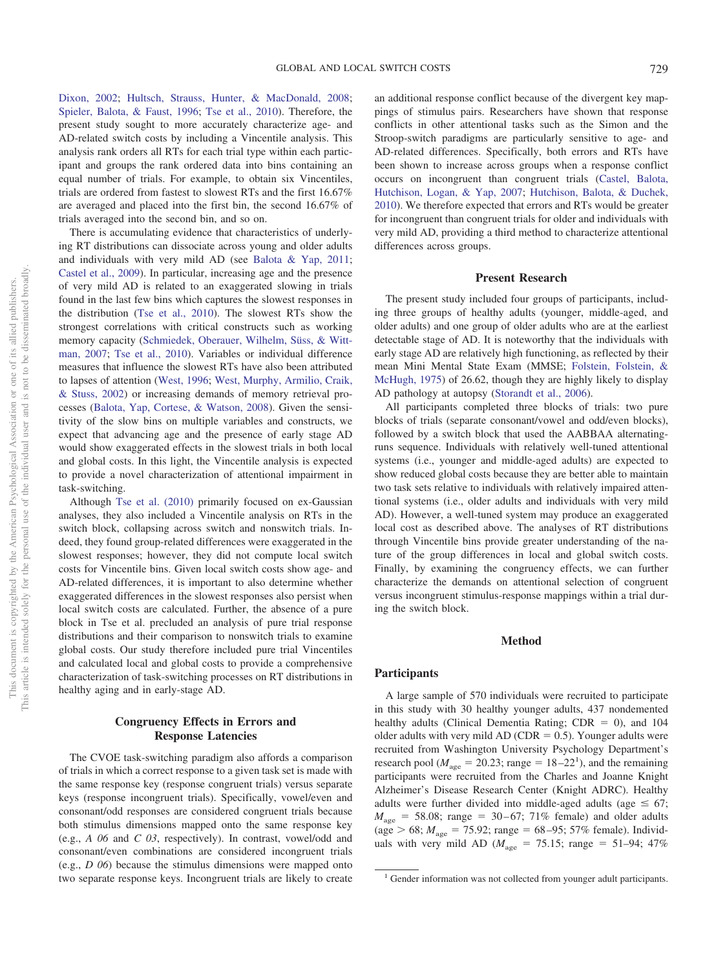[Dixon, 2002;](#page-11-10) [Hultsch, Strauss, Hunter, & MacDonald, 2008;](#page-11-11) [Spieler, Balota, & Faust, 1996;](#page-12-18) [Tse et al., 2010\)](#page-12-3). Therefore, the present study sought to more accurately characterize age- and AD-related switch costs by including a Vincentile analysis. This analysis rank orders all RTs for each trial type within each participant and groups the rank ordered data into bins containing an equal number of trials. For example, to obtain six Vincentiles, trials are ordered from fastest to slowest RTs and the first 16.67% are averaged and placed into the first bin, the second 16.67% of trials averaged into the second bin, and so on.

There is accumulating evidence that characteristics of underlying RT distributions can dissociate across young and older adults and individuals with very mild AD (see [Balota & Yap, 2011;](#page-11-12) [Castel et al., 2009\)](#page-11-5). In particular, increasing age and the presence of very mild AD is related to an exaggerated slowing in trials found in the last few bins which captures the slowest responses in the distribution [\(Tse et al., 2010\)](#page-12-3). The slowest RTs show the strongest correlations with critical constructs such as working memory capacity [\(Schmiedek, Oberauer, Wilhelm, Süss, & Witt](#page-12-19)[man, 2007;](#page-12-19) [Tse et al., 2010\)](#page-12-3). Variables or individual difference measures that influence the slowest RTs have also been attributed to lapses of attention [\(West, 1996;](#page-12-20) [West, Murphy, Armilio, Craik,](#page-12-21) [& Stuss, 2002\)](#page-12-21) or increasing demands of memory retrieval processes [\(Balota, Yap, Cortese, & Watson, 2008\)](#page-11-13). Given the sensitivity of the slow bins on multiple variables and constructs, we expect that advancing age and the presence of early stage AD would show exaggerated effects in the slowest trials in both local and global costs. In this light, the Vincentile analysis is expected to provide a novel characterization of attentional impairment in task-switching.

Although [Tse et al. \(2010\)](#page-12-3) primarily focused on ex-Gaussian analyses, they also included a Vincentile analysis on RTs in the switch block, collapsing across switch and nonswitch trials. Indeed, they found group-related differences were exaggerated in the slowest responses; however, they did not compute local switch costs for Vincentile bins. Given local switch costs show age- and AD-related differences, it is important to also determine whether exaggerated differences in the slowest responses also persist when local switch costs are calculated. Further, the absence of a pure block in Tse et al. precluded an analysis of pure trial response distributions and their comparison to nonswitch trials to examine global costs. Our study therefore included pure trial Vincentiles and calculated local and global costs to provide a comprehensive characterization of task-switching processes on RT distributions in healthy aging and in early-stage AD.

# **Congruency Effects in Errors and Response Latencies**

The CVOE task-switching paradigm also affords a comparison of trials in which a correct response to a given task set is made with the same response key (response congruent trials) versus separate keys (response incongruent trials). Specifically, vowel/even and consonant/odd responses are considered congruent trials because both stimulus dimensions mapped onto the same response key (e.g., *A 06* and *C 03*, respectively). In contrast, vowel/odd and consonant/even combinations are considered incongruent trials (e.g., *D 06*) because the stimulus dimensions were mapped onto two separate response keys. Incongruent trials are likely to create an additional response conflict because of the divergent key mappings of stimulus pairs. Researchers have shown that response conflicts in other attentional tasks such as the Simon and the Stroop-switch paradigms are particularly sensitive to age- and AD-related differences. Specifically, both errors and RTs have been shown to increase across groups when a response conflict occurs on incongruent than congruent trials [\(Castel, Balota,](#page-11-14) [Hutchison, Logan, & Yap, 2007;](#page-11-14) [Hutchison, Balota, & Duchek,](#page-11-15) [2010\)](#page-11-15). We therefore expected that errors and RTs would be greater for incongruent than congruent trials for older and individuals with very mild AD, providing a third method to characterize attentional differences across groups.

## **Present Research**

The present study included four groups of participants, including three groups of healthy adults (younger, middle-aged, and older adults) and one group of older adults who are at the earliest detectable stage of AD. It is noteworthy that the individuals with early stage AD are relatively high functioning, as reflected by their mean Mini Mental State Exam (MMSE; [Folstein, Folstein, &](#page-11-16) [McHugh, 1975\)](#page-11-16) of 26.62, though they are highly likely to display AD pathology at autopsy [\(Storandt et al., 2006\)](#page-12-1).

All participants completed three blocks of trials: two pure blocks of trials (separate consonant/vowel and odd/even blocks), followed by a switch block that used the AABBAA alternatingruns sequence. Individuals with relatively well-tuned attentional systems (i.e., younger and middle-aged adults) are expected to show reduced global costs because they are better able to maintain two task sets relative to individuals with relatively impaired attentional systems (i.e., older adults and individuals with very mild AD). However, a well-tuned system may produce an exaggerated local cost as described above. The analyses of RT distributions through Vincentile bins provide greater understanding of the nature of the group differences in local and global switch costs. Finally, by examining the congruency effects, we can further characterize the demands on attentional selection of congruent versus incongruent stimulus-response mappings within a trial during the switch block.

# **Method**

## **Participants**

A large sample of 570 individuals were recruited to participate in this study with 30 healthy younger adults, 437 nondemented healthy adults (Clinical Dementia Rating;  $CDR = 0$ ), and 104 older adults with very mild  $AD (CDR = 0.5)$ . Younger adults were recruited from Washington University Psychology Department's research pool ( $M_{\text{age}} = 20.23$ ; range = 18-22<sup>1</sup>), and the remaining participants were recruited from the Charles and Joanne Knight Alzheimer's Disease Research Center (Knight ADRC). Healthy adults were further divided into middle-aged adults (age  $\leq 67$ ;  $M_{\text{age}} = 58.08$ ; range = 30–67; 71% female) and older adults  $(\text{age} > 68; M_{\text{age}} = 75.92; \text{range} = 68-95; 57\% \text{ female}).$  Individuals with very mild AD ( $M_{\text{age}} = 75.15$ ; range = 51–94; 47%

<sup>&</sup>lt;sup>1</sup> Gender information was not collected from younger adult participants.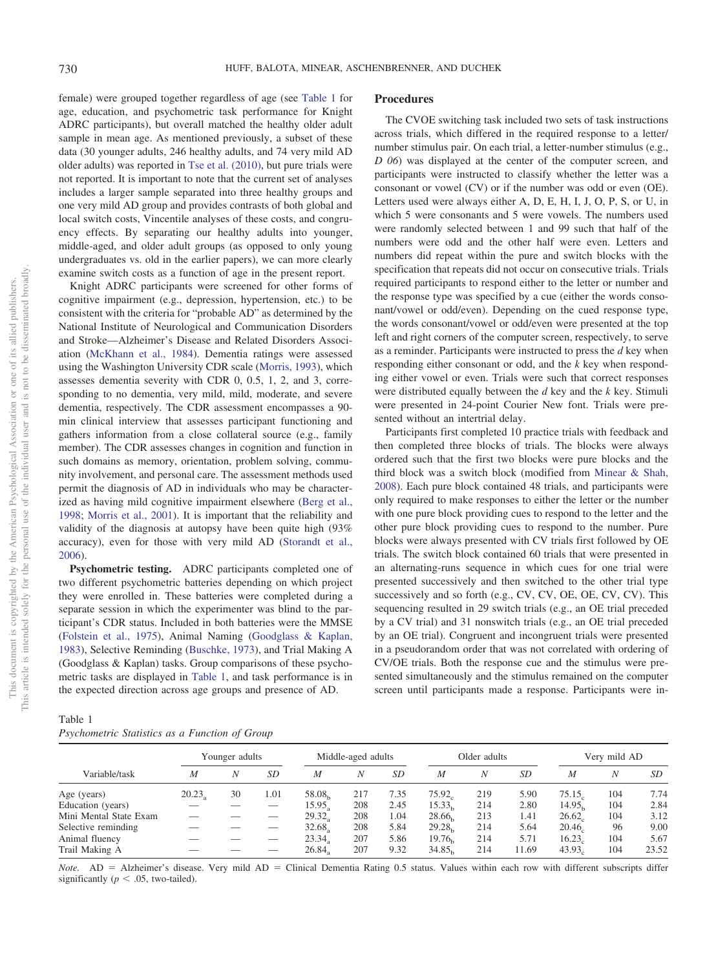female) were grouped together regardless of age (see [Table 1](#page-3-0) for age, education, and psychometric task performance for Knight ADRC participants), but overall matched the healthy older adult sample in mean age. As mentioned previously, a subset of these data (30 younger adults, 246 healthy adults, and 74 very mild AD older adults) was reported in [Tse et al. \(2010\),](#page-12-3) but pure trials were not reported. It is important to note that the current set of analyses includes a larger sample separated into three healthy groups and one very mild AD group and provides contrasts of both global and local switch costs, Vincentile analyses of these costs, and congruency effects. By separating our healthy adults into younger, middle-aged, and older adult groups (as opposed to only young undergraduates vs. old in the earlier papers), we can more clearly examine switch costs as a function of age in the present report.

Knight ADRC participants were screened for other forms of cognitive impairment (e.g., depression, hypertension, etc.) to be consistent with the criteria for "probable AD" as determined by the National Institute of Neurological and Communication Disorders and Stroke—Alzheimer's Disease and Related Disorders Association [\(McKhann et al., 1984\)](#page-12-22). Dementia ratings were assessed using the Washington University CDR scale [\(Morris, 1993\)](#page-12-23), which assesses dementia severity with CDR 0, 0.5, 1, 2, and 3, corresponding to no dementia, very mild, mild, moderate, and severe dementia, respectively. The CDR assessment encompasses a 90 min clinical interview that assesses participant functioning and gathers information from a close collateral source (e.g., family member). The CDR assesses changes in cognition and function in such domains as memory, orientation, problem solving, community involvement, and personal care. The assessment methods used permit the diagnosis of AD in individuals who may be characterized as having mild cognitive impairment elsewhere [\(Berg et al.,](#page-11-17) [1998;](#page-11-17) [Morris et al., 2001\)](#page-12-24). It is important that the reliability and validity of the diagnosis at autopsy have been quite high (93% accuracy), even for those with very mild AD [\(Storandt et al.,](#page-12-1) [2006\)](#page-12-1).

**Psychometric testing.** ADRC participants completed one of two different psychometric batteries depending on which project they were enrolled in. These batteries were completed during a separate session in which the experimenter was blind to the participant's CDR status. Included in both batteries were the MMSE [\(Folstein et al., 1975\)](#page-11-16), Animal Naming [\(Goodglass & Kaplan,](#page-11-18) [1983\)](#page-11-18), Selective Reminding [\(Buschke, 1973\)](#page-11-19), and Trial Making A (Goodglass & Kaplan) tasks. Group comparisons of these psychometric tasks are displayed in [Table 1,](#page-3-0) and task performance is in the expected direction across age groups and presence of AD.

## **Procedures**

The CVOE switching task included two sets of task instructions across trials, which differed in the required response to a letter/ number stimulus pair. On each trial, a letter-number stimulus (e.g., *D 06*) was displayed at the center of the computer screen, and participants were instructed to classify whether the letter was a consonant or vowel (CV) or if the number was odd or even (OE). Letters used were always either A, D, E, H, I, J, O, P, S, or U, in which 5 were consonants and 5 were vowels. The numbers used were randomly selected between 1 and 99 such that half of the numbers were odd and the other half were even. Letters and numbers did repeat within the pure and switch blocks with the specification that repeats did not occur on consecutive trials. Trials required participants to respond either to the letter or number and the response type was specified by a cue (either the words consonant/vowel or odd/even). Depending on the cued response type, the words consonant/vowel or odd/even were presented at the top left and right corners of the computer screen, respectively, to serve as a reminder. Participants were instructed to press the *d* key when responding either consonant or odd, and the *k* key when responding either vowel or even. Trials were such that correct responses were distributed equally between the *d* key and the *k* key. Stimuli were presented in 24-point Courier New font. Trials were presented without an intertrial delay.

Participants first completed 10 practice trials with feedback and then completed three blocks of trials. The blocks were always ordered such that the first two blocks were pure blocks and the third block was a switch block (modified from [Minear & Shah,](#page-12-11) [2008\)](#page-12-11). Each pure block contained 48 trials, and participants were only required to make responses to either the letter or the number with one pure block providing cues to respond to the letter and the other pure block providing cues to respond to the number. Pure blocks were always presented with CV trials first followed by OE trials. The switch block contained 60 trials that were presented in an alternating-runs sequence in which cues for one trial were presented successively and then switched to the other trial type successively and so forth (e.g., CV, CV, OE, OE, CV, CV). This sequencing resulted in 29 switch trials (e.g., an OE trial preceded by a CV trial) and 31 nonswitch trials (e.g., an OE trial preceded by an OE trial). Congruent and incongruent trials were presented in a pseudorandom order that was not correlated with ordering of CV/OE trials. Both the response cue and the stimulus were presented simultaneously and the stimulus remained on the computer screen until participants made a response. Participants were in-

<span id="page-3-0"></span>

| Table 1                                        |  |  |
|------------------------------------------------|--|--|
| Psychometric Statistics as a Function of Group |  |  |

| Variable/task          | Younger adults   |    | Middle-aged adults       |                    | Older adults |      | Very mild AD       |     |       |                    |     |       |
|------------------------|------------------|----|--------------------------|--------------------|--------------|------|--------------------|-----|-------|--------------------|-----|-------|
|                        | $\boldsymbol{M}$ | Ν  | <b>SD</b>                | M                  | Ν            | SD   | M                  | Ν   | SD    | M                  | Ν   | SD    |
| Age (years)            | 20.23            | 30 | 1.01                     | 58.08 <sub>b</sub> | 217          | 7.35 | $75.92_c$          | 219 | 5.90  | 75.15 <sub>c</sub> | 104 | 7.74  |
| Education (years)      |                  |    |                          | 15.95.             | 208          | 2.45 | 15.33 <sub>b</sub> | 214 | 2.80  | 14.95 <sub>b</sub> | 104 | 2.84  |
| Mini Mental State Exam |                  |    |                          | 29.32.             | 208          | 1.04 | 28.66 <sub>b</sub> | 213 | 1.41  | $26.62_c$          | 104 | 3.12  |
| Selective reminding    |                  |    | $\overline{\phantom{a}}$ | 32.68.             | 208          | 5.84 | 29.28 <sub>b</sub> | 214 | 5.64  | 20.46              | 96  | 9.00  |
| Animal fluency         |                  |    | _                        | 23.34,             | 207          | 5.86 | 19.76 <sub>b</sub> | 214 | 5.71  | 16.23              | 104 | 5.67  |
| Trail Making A         |                  |    |                          | 26.84.             | 207          | 9.32 | 34.85 <sub>b</sub> | 214 | 11.69 | 43.93 <sub>c</sub> | 104 | 23.52 |

Note. AD = Alzheimer's disease. Very mild AD = Clinical Dementia Rating 0.5 status. Values within each row with different subscripts differ significantly ( $p < .05$ , two-tailed).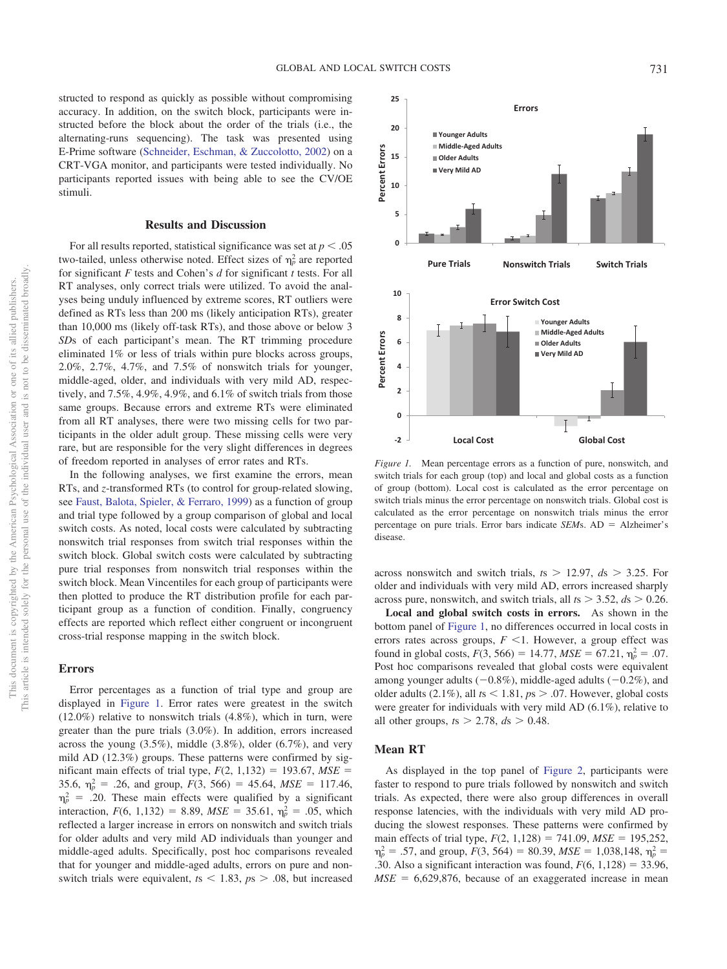structed to respond as quickly as possible without compromising accuracy. In addition, on the switch block, participants were instructed before the block about the order of the trials (i.e., the alternating-runs sequencing). The task was presented using E-Prime software [\(Schneider, Eschman, & Zuccolotto, 2002\)](#page-12-25) on a CRT-VGA monitor, and participants were tested individually. No participants reported issues with being able to see the CV/OE stimuli.

## **Results and Discussion**

For all results reported, statistical significance was set at  $p < .05$ two-tailed, unless otherwise noted. Effect sizes of  $\eta_p^2$  are reported for significant *F* tests and Cohen's *d* for significant *t* tests. For all RT analyses, only correct trials were utilized. To avoid the analyses being unduly influenced by extreme scores, RT outliers were defined as RTs less than 200 ms (likely anticipation RTs), greater than 10,000 ms (likely off-task RTs), and those above or below 3 *SD*s of each participant's mean. The RT trimming procedure eliminated 1% or less of trials within pure blocks across groups, 2.0%, 2.7%, 4.7%, and 7.5% of nonswitch trials for younger, middle-aged, older, and individuals with very mild AD, respectively, and 7.5%, 4.9%, 4.9%, and 6.1% of switch trials from those same groups. Because errors and extreme RTs were eliminated from all RT analyses, there were two missing cells for two participants in the older adult group. These missing cells were very rare, but are responsible for the very slight differences in degrees of freedom reported in analyses of error rates and RTs.

In the following analyses, we first examine the errors, mean RTs, and *z*-transformed RTs (to control for group-related slowing, see [Faust, Balota, Spieler, & Ferraro, 1999\)](#page-11-20) as a function of group and trial type followed by a group comparison of global and local switch costs. As noted, local costs were calculated by subtracting nonswitch trial responses from switch trial responses within the switch block. Global switch costs were calculated by subtracting pure trial responses from nonswitch trial responses within the switch block. Mean Vincentiles for each group of participants were then plotted to produce the RT distribution profile for each participant group as a function of condition. Finally, congruency effects are reported which reflect either congruent or incongruent cross-trial response mapping in the switch block.

## **Errors**

Error percentages as a function of trial type and group are displayed in [Figure 1.](#page-4-0) Error rates were greatest in the switch (12.0%) relative to nonswitch trials (4.8%), which in turn, were greater than the pure trials (3.0%). In addition, errors increased across the young (3.5%), middle (3.8%), older (6.7%), and very mild AD (12.3%) groups. These patterns were confirmed by significant main effects of trial type,  $F(2, 1, 132) = 193.67$ ,  $MSE =$ 35.6,  $\eta_p^2 = .26$ , and group,  $F(3, 566) = 45.64$ ,  $MSE = 117.46$ ,  $\eta_p^2$  = .20. These main effects were qualified by a significant interaction,  $F(6, 1, 132) = 8.89$ ,  $MSE = 35.61$ ,  $\eta_p^2 = .05$ , which reflected a larger increase in errors on nonswitch and switch trials for older adults and very mild AD individuals than younger and middle-aged adults. Specifically, post hoc comparisons revealed that for younger and middle-aged adults, errors on pure and nonswitch trials were equivalent,  $t_s < 1.83$ ,  $p_s > .08$ , but increased



<span id="page-4-0"></span>*Figure 1.* Mean percentage errors as a function of pure, nonswitch, and switch trials for each group (top) and local and global costs as a function of group (bottom). Local cost is calculated as the error percentage on switch trials minus the error percentage on nonswitch trials. Global cost is calculated as the error percentage on nonswitch trials minus the error percentage on pure trials. Error bars indicate *SEM*s. AD = Alzheimer's disease.

across nonswitch and switch trials,  $ts > 12.97$ ,  $ds > 3.25$ . For older and individuals with very mild AD, errors increased sharply across pure, nonswitch, and switch trials, all  $ts > 3.52$ ,  $ds > 0.26$ .

**Local and global switch costs in errors.** As shown in the bottom panel of [Figure 1,](#page-4-0) no differences occurred in local costs in errors rates across groups,  $F \leq 1$ . However, a group effect was found in global costs,  $F(3, 566) = 14.77$ ,  $MSE = 67.21$ ,  $\eta_p^2 = .07$ . Post hoc comparisons revealed that global costs were equivalent among younger adults  $(-0.8\%)$ , middle-aged adults  $(-0.2\%)$ , and older adults  $(2.1\%)$ , all  $ts < 1.81$ ,  $ps > .07$ . However, global costs were greater for individuals with very mild AD (6.1%), relative to all other groups,  $ts > 2.78$ ,  $ds > 0.48$ .

## **Mean RT**

As displayed in the top panel of [Figure 2,](#page-5-0) participants were faster to respond to pure trials followed by nonswitch and switch trials. As expected, there were also group differences in overall response latencies, with the individuals with very mild AD producing the slowest responses. These patterns were confirmed by main effects of trial type,  $F(2, 1, 128) = 741.09$ ,  $MSE = 195,252$ ,  $\eta_p^2 = .57$ , and group,  $F(3, 564) = 80.39$ ,  $MSE = 1,038,148$ ,  $\eta_p^2 =$ .30. Also a significant interaction was found,  $F(6, 1, 128) = 33.96$ ,  $MSE = 6,629,876$ , because of an exaggerated increase in mean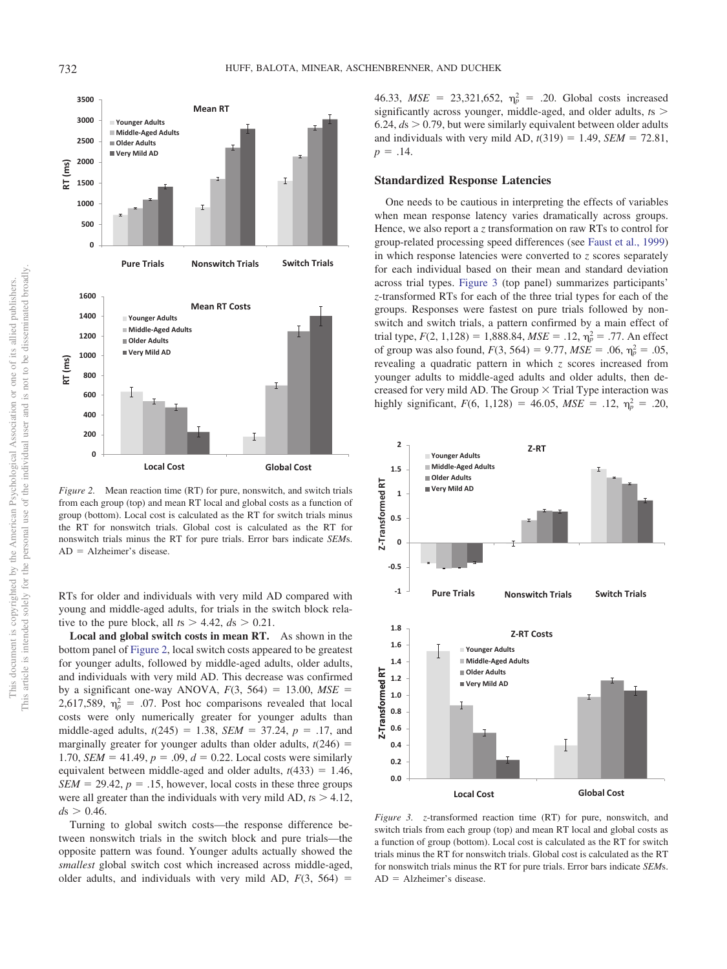**-1 -0.5**

**0.8 1.0 1.2 1.4 1.6 1.8**

<span id="page-5-1"></span> $AD = Alzheimer's disease$ .

**0 0.5**

**1**

**Z-Transformed RT**

Z-Transformed RT

**1.5 2**

**Younger Adults Middle-Aged Adults Older Adults Very Mild AD**

<span id="page-5-0"></span>*Figure 2.* Mean reaction time (RT) for pure, nonswitch, and switch trials from each group (top) and mean RT local and global costs as a function of group (bottom). Local cost is calculated as the RT for switch trials minus the RT for nonswitch trials. Global cost is calculated as the RT for nonswitch trials minus the RT for pure trials. Error bars indicate *SEM*s.  $AD = Alzheimer's disease.$ 

RTs for older and individuals with very mild AD compared with young and middle-aged adults, for trials in the switch block relative to the pure block, all  $ts > 4.42$ ,  $ds > 0.21$ .

**Local and global switch costs in mean RT.** As shown in the bottom panel of [Figure 2,](#page-5-0) local switch costs appeared to be greatest for younger adults, followed by middle-aged adults, older adults, and individuals with very mild AD. This decrease was confirmed by a significant one-way ANOVA,  $F(3, 564) = 13.00$ ,  $MSE =$ 2,617,589,  $\eta_p^2 = 0.07$ . Post hoc comparisons revealed that local costs were only numerically greater for younger adults than middle-aged adults,  $t(245) = 1.38$ ,  $SEM = 37.24$ ,  $p = .17$ , and marginally greater for younger adults than older adults,  $t(246)$  = 1.70, *SEM* = 41.49,  $p = .09$ ,  $d = 0.22$ . Local costs were similarly equivalent between middle-aged and older adults,  $t(433) = 1.46$ ,  $SEM = 29.42$ ,  $p = .15$ , however, local costs in these three groups were all greater than the individuals with very mild AD,  $t_s > 4.12$ ,  $ds > 0.46$ .

Turning to global switch costs—the response difference between nonswitch trials in the switch block and pure trials—the opposite pattern was found. Younger adults actually showed the *smallest* global switch cost which increased across middle-aged, older adults, and individuals with very mild AD,  $F(3, 564) =$ 

46.33,  $MSE = 23,321,652, \eta_p^2 = .20$ . Global costs increased significantly across younger, middle-aged, and older adults, *t*s 6.24,  $ds > 0.79$ , but were similarly equivalent between older adults and individuals with very mild AD,  $t(319) = 1.49$ , *SEM* = 72.81,  $p = .14$ .

## **Standardized Response Latencies**

One needs to be cautious in interpreting the effects of variables when mean response latency varies dramatically across groups. Hence, we also report a *z* transformation on raw RTs to control for group-related processing speed differences (see [Faust et al., 1999\)](#page-11-20) in which response latencies were converted to *z* scores separately for each individual based on their mean and standard deviation across trial types. [Figure 3](#page-5-1) (top panel) summarizes participants' *z*-transformed RTs for each of the three trial types for each of the groups. Responses were fastest on pure trials followed by nonswitch and switch trials, a pattern confirmed by a main effect of trial type,  $F(2, 1, 128) = 1,888.84, MSE = .12, \eta_p^2 = .77$ . An effect of group was also found,  $F(3, 564) = 9.77$ ,  $MSE = .06$ ,  $\eta_p^2 = .05$ , revealing a quadratic pattern in which *z* scores increased from younger adults to middle-aged adults and older adults, then decreased for very mild AD. The Group  $\times$  Trial Type interaction was highly significant,  $F(6, 1,128) = 46.05$ ,  $MSE = .12$ ,  $\eta_p^2 = .20$ ,

**Z-RT**

**Z-Transformed RT** Z-Transformed RT **0.6 0.4 0.2 0.0 Local Cost Global Cost** *Figure 3. z*-transformed reaction time (RT) for pure, nonswitch, and switch trials from each group (top) and mean RT local and global costs as a function of group (bottom). Local cost is calculated as the RT for switch trials minus the RT for nonswitch trials. Global cost is calculated as the RT for nonswitch trials minus the RT for pure trials. Error bars indicate *SEM*s.

**Pure Trials Nonswitch Trials**

**Z-RT Costs**

**Younger Adults Middle-Aged Adults Older Adults Very Mild AD**

**Switch Trials**

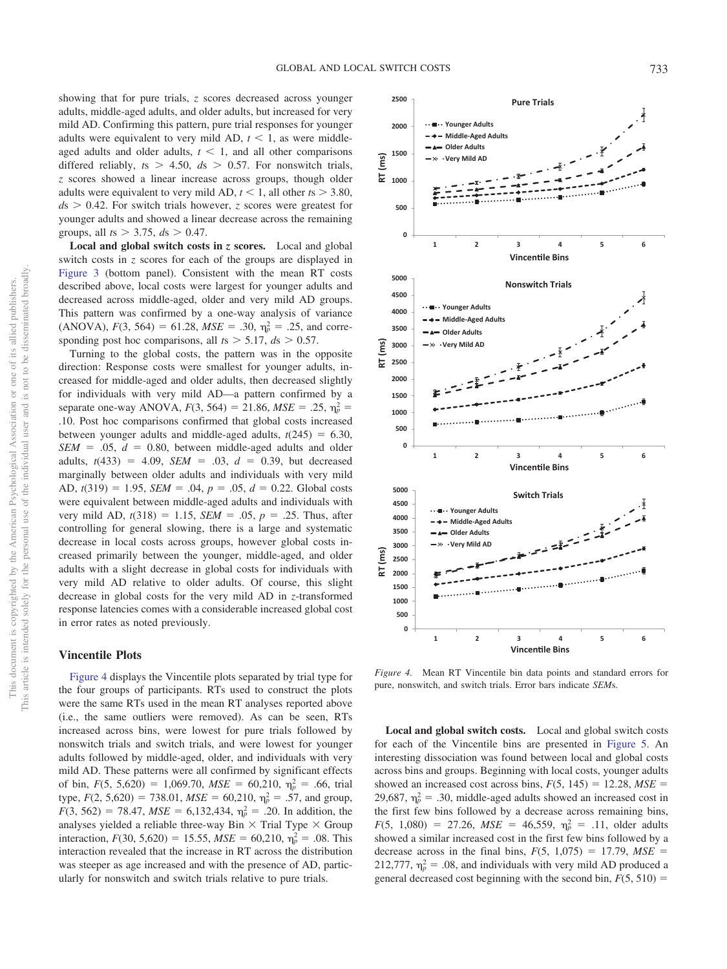showing that for pure trials, *z* scores decreased across younger adults, middle-aged adults, and older adults, but increased for very mild AD. Confirming this pattern, pure trial responses for younger adults were equivalent to very mild AD,  $t < 1$ , as were middleaged adults and older adults,  $t < 1$ , and all other comparisons differed reliably,  $ts > 4.50$ ,  $ds > 0.57$ . For nonswitch trials, *z* scores showed a linear increase across groups, though older adults were equivalent to very mild AD,  $t < 1$ , all other  $ts > 3.80$ ,  $ds > 0.42$ . For switch trials however, *z* scores were greatest for younger adults and showed a linear decrease across the remaining groups, all  $t_s > 3.75$ ,  $ds > 0.47$ .

**Local and global switch costs in** *z* **scores.** Local and global switch costs in *z* scores for each of the groups are displayed in [Figure 3](#page-5-1) (bottom panel). Consistent with the mean RT costs described above, local costs were largest for younger adults and decreased across middle-aged, older and very mild AD groups. This pattern was confirmed by a one-way analysis of variance  $(ANOVA)$ ,  $F(3, 564) = 61.28$ ,  $MSE = .30$ ,  $\eta_p^2 = .25$ , and corresponding post hoc comparisons, all  $ts > 5.17$ ,  $ds > 0.57$ .

Turning to the global costs, the pattern was in the opposite direction: Response costs were smallest for younger adults, increased for middle-aged and older adults, then decreased slightly for individuals with very mild AD—a pattern confirmed by a separate one-way ANOVA,  $F(3, 564) = 21.86$ ,  $MSE = .25$ ,  $\eta_p^2 =$ .10. Post hoc comparisons confirmed that global costs increased between younger adults and middle-aged adults,  $t(245) = 6.30$ ,  $SEM = .05$ ,  $d = 0.80$ , between middle-aged adults and older adults,  $t(433) = 4.09$ ,  $SEM = .03$ ,  $d = 0.39$ , but decreased marginally between older adults and individuals with very mild AD,  $t(319) = 1.95$ ,  $SEM = .04$ ,  $p = .05$ ,  $d = 0.22$ . Global costs were equivalent between middle-aged adults and individuals with very mild AD,  $t(318) = 1.15$ ,  $SEM = .05$ ,  $p = .25$ . Thus, after controlling for general slowing, there is a large and systematic decrease in local costs across groups, however global costs increased primarily between the younger, middle-aged, and older adults with a slight decrease in global costs for individuals with very mild AD relative to older adults. Of course, this slight decrease in global costs for the very mild AD in *z*-transformed response latencies comes with a considerable increased global cost in error rates as noted previously.

## **Vincentile Plots**

[Figure 4](#page-6-0) displays the Vincentile plots separated by trial type for the four groups of participants. RTs used to construct the plots were the same RTs used in the mean RT analyses reported above (i.e., the same outliers were removed). As can be seen, RTs increased across bins, were lowest for pure trials followed by nonswitch trials and switch trials, and were lowest for younger adults followed by middle-aged, older, and individuals with very mild AD. These patterns were all confirmed by significant effects of bin,  $F(5, 5,620) = 1,069.70$ ,  $MSE = 60,210$ ,  $\eta_p^2 = .66$ , trial type,  $F(2, 5{,}620) = 738.01$ ,  $MSE = 60{,}210$ ,  $\eta_p^2 = .57$ , and group,  $F(3, 562) = 78.47$ ,  $MSE = 6,132,434$ ,  $\eta_p^2 = .20$ . In addition, the analyses yielded a reliable three-way Bin  $\times$  Trial Type  $\times$  Group interaction,  $F(30, 5,620) = 15.55$ ,  $MSE = 60,210$ ,  $\eta_p^2 = .08$ . This interaction revealed that the increase in RT across the distribution was steeper as age increased and with the presence of AD, particularly for nonswitch and switch trials relative to pure trials.



<span id="page-6-0"></span>*Figure 4.* Mean RT Vincentile bin data points and standard errors for pure, nonswitch, and switch trials. Error bars indicate *SEM*s.

**Local and global switch costs.** Local and global switch costs for each of the Vincentile bins are presented in [Figure 5.](#page-7-0) An interesting dissociation was found between local and global costs across bins and groups. Beginning with local costs, younger adults showed an increased cost across bins,  $F(5, 145) = 12.28$ ,  $MSE =$ 29,687,  $\eta_p^2 = .30$ , middle-aged adults showed an increased cost in the first few bins followed by a decrease across remaining bins,  $F(5, 1,080) = 27.26$ ,  $MSE = 46,559$ ,  $\eta_p^2 = .11$ , older adults showed a similar increased cost in the first few bins followed by a decrease across in the final bins,  $F(5, 1,075) = 17.79$ ,  $MSE =$ 212,777,  $\eta_p^2 = .08$ , and individuals with very mild AD produced a general decreased cost beginning with the second bin,  $F(5, 510) =$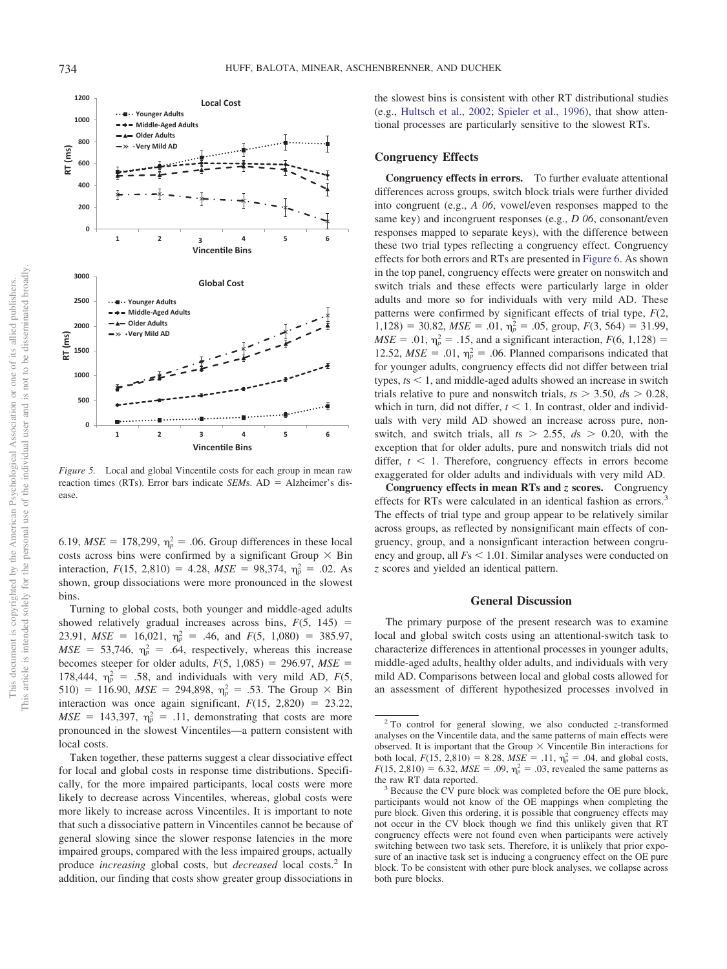<span id="page-7-0"></span>*Figure 5.* Local and global Vincentile costs for each group in mean raw reaction times (RTs). Error bars indicate *SEM*s. AD = Alzheimer's disease.

6.19,  $MSE = 178,299$ ,  $\eta_p^2 = .06$ . Group differences in these local costs across bins were confirmed by a significant Group  $\times$  Bin interaction,  $F(15, 2,810) = 4.28$ ,  $MSE = 98,374$ ,  $\eta_p^2 = .02$ . As shown, group dissociations were more pronounced in the slowest bins.

Turning to global costs, both younger and middle-aged adults showed relatively gradual increases across bins,  $F(5, 145)$  = 23.91,  $MSE = 16{,}021$ ,  $\eta_p^2 = .46$ , and  $F(5, 1{,}080) = 385.97$ ,  $MSE = 53,746$ ,  $\eta_p^2 = .64$ , respectively, whereas this increase becomes steeper for older adults,  $F(5, 1,085) = 296.97$ ,  $MSE =$ 178,444,  $\eta_p^2 = .58$ , and individuals with very mild AD,  $F(5)$ , 510) = 116.90,  $MSE = 294,898$ ,  $\eta_p^2 = .53$ . The Group  $\times$  Bin interaction was once again significant,  $F(15, 2,820) = 23.22$ ,  $MSE = 143,397$ ,  $\eta_p^2 = .11$ , demonstrating that costs are more pronounced in the slowest Vincentiles—a pattern consistent with local costs.

Taken together, these patterns suggest a clear dissociative effect for local and global costs in response time distributions. Specifically, for the more impaired participants, local costs were more likely to decrease across Vincentiles, whereas, global costs were more likely to increase across Vincentiles. It is important to note that such a dissociative pattern in Vincentiles cannot be because of general slowing since the slower response latencies in the more impaired groups, compared with the less impaired groups, actually produce *increasing* global costs, but *decreased* local costs.2 In addition, our finding that costs show greater group dissociations in the slowest bins is consistent with other RT distributional studies (e.g., [Hultsch et al., 2002;](#page-11-10) [Spieler et al., 1996\)](#page-12-18), that show attentional processes are particularly sensitive to the slowest RTs.

#### **Congruency Effects**

**Congruency effects in errors.** To further evaluate attentional differences across groups, switch block trials were further divided into congruent (e.g., *A 06*, vowel/even responses mapped to the same key) and incongruent responses (e.g., *D 06*, consonant/even responses mapped to separate keys), with the difference between these two trial types reflecting a congruency effect. Congruency effects for both errors and RTs are presented in [Figure 6.](#page-8-0) As shown in the top panel, congruency effects were greater on nonswitch and switch trials and these effects were particularly large in older adults and more so for individuals with very mild AD. These patterns were confirmed by significant effects of trial type, *F*(2,  $1,128$ ) = 30.82, *MSE* = .01,  $\eta_p^2$  = .05, group,  $F(3, 564)$  = 31.99,  $MSE = .01$ ,  $\eta_p^2 = .15$ , and a significant interaction,  $F(6, 1, 128) =$ 12.52,  $MSE = .01$ ,  $\eta_p^2 = .06$ . Planned comparisons indicated that for younger adults, congruency effects did not differ between trial types, *, and middle-aged adults showed an increase in switch* trials relative to pure and nonswitch trials,  $t_s > 3.50$ ,  $ds > 0.28$ , which in turn, did not differ,  $t < 1$ . In contrast, older and individuals with very mild AD showed an increase across pure, nonswitch, and switch trials, all  $ts$  > 2.55,  $ds$  > 0.20, with the exception that for older adults, pure and nonswitch trials did not differ,  $t < 1$ . Therefore, congruency effects in errors become exaggerated for older adults and individuals with very mild AD.

**Congruency effects in mean RTs and** *z* **scores.** Congruency effects for RTs were calculated in an identical fashion as errors.<sup>3</sup> The effects of trial type and group appear to be relatively similar across groups, as reflected by nonsignificant main effects of congruency, group, and a nonsignficant interaction between congruency and group, all  $F_s < 1.01$ . Similar analyses were conducted on *z* scores and yielded an identical pattern.

## **General Discussion**

The primary purpose of the present research was to examine local and global switch costs using an attentional-switch task to characterize differences in attentional processes in younger adults, middle-aged adults, healthy older adults, and individuals with very mild AD. Comparisons between local and global costs allowed for an assessment of different hypothesized processes involved in



<sup>2</sup> To control for general slowing, we also conducted *z*-transformed analyses on the Vincentile data, and the same patterns of main effects were observed. It is important that the Group  $\times$  Vincentile Bin interactions for both local,  $F(15, 2,810) = 8.28$ ,  $MSE = .11$ ,  $\eta_p^2 = .04$ , and global costs,  $F(15, 2,810) = 6.32$ ,  $MSE = .09$ ,  $\eta_p^2 = .03$ , revealed the same patterns as

the raw RT data reported.<br><sup>3</sup> Because the CV pure block was completed before the OE pure block, participants would not know of the OE mappings when completing the pure block. Given this ordering, it is possible that congruency effects may not occur in the CV block though we find this unlikely given that RT congruency effects were not found even when participants were actively switching between two task sets. Therefore, it is unlikely that prior exposure of an inactive task set is inducing a congruency effect on the OE pure block. To be consistent with other pure block analyses, we collapse across both pure blocks.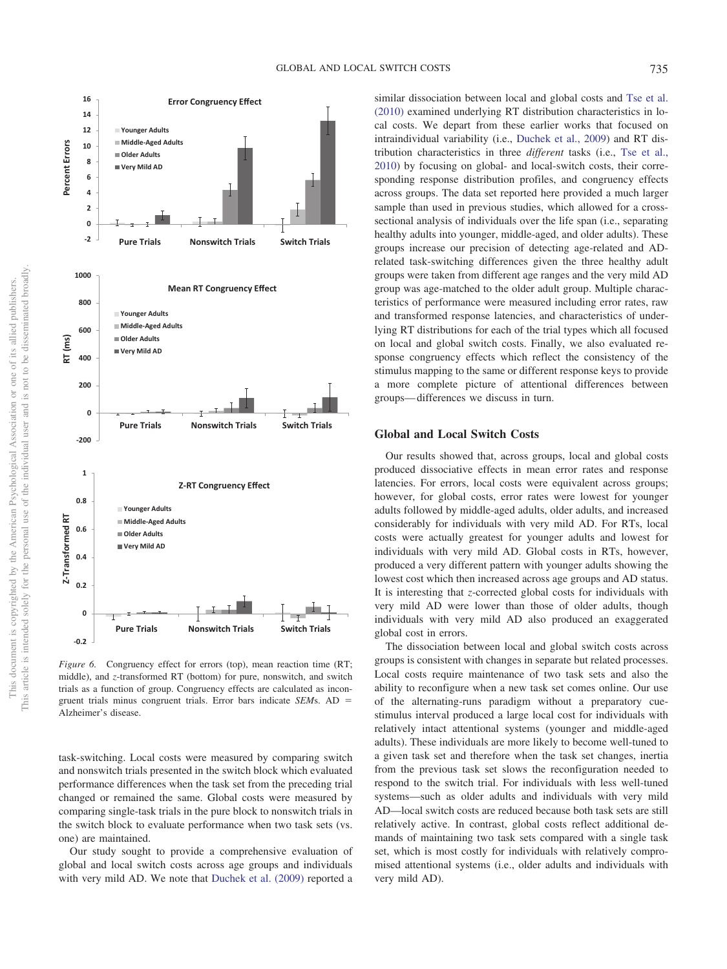

<span id="page-8-0"></span>*Figure 6.* Congruency effect for errors (top), mean reaction time (RT; middle), and *z*-transformed RT (bottom) for pure, nonswitch, and switch trials as a function of group. Congruency effects are calculated as incongruent trials minus congruent trials. Error bars indicate *SEM*s. AD - Alzheimer's disease.

task-switching. Local costs were measured by comparing switch and nonswitch trials presented in the switch block which evaluated performance differences when the task set from the preceding trial changed or remained the same. Global costs were measured by comparing single-task trials in the pure block to nonswitch trials in the switch block to evaluate performance when two task sets (vs. one) are maintained.

Our study sought to provide a comprehensive evaluation of global and local switch costs across age groups and individuals with very mild AD. We note that [Duchek et al. \(2009\)](#page-11-4) reported a similar dissociation between local and global costs and [Tse et al.](#page-12-3) [\(2010\)](#page-12-3) examined underlying RT distribution characteristics in local costs. We depart from these earlier works that focused on intraindividual variability (i.e., [Duchek et al., 2009\)](#page-11-4) and RT distribution characteristics in three *different* tasks (i.e., [Tse et al.,](#page-12-3) [2010\)](#page-12-3) by focusing on global- and local-switch costs, their corresponding response distribution profiles, and congruency effects across groups. The data set reported here provided a much larger sample than used in previous studies, which allowed for a crosssectional analysis of individuals over the life span (i.e., separating healthy adults into younger, middle-aged, and older adults). These groups increase our precision of detecting age-related and ADrelated task-switching differences given the three healthy adult groups were taken from different age ranges and the very mild AD group was age-matched to the older adult group. Multiple characteristics of performance were measured including error rates, raw and transformed response latencies, and characteristics of underlying RT distributions for each of the trial types which all focused on local and global switch costs. Finally, we also evaluated response congruency effects which reflect the consistency of the stimulus mapping to the same or different response keys to provide a more complete picture of attentional differences between groups— differences we discuss in turn.

#### **Global and Local Switch Costs**

Our results showed that, across groups, local and global costs produced dissociative effects in mean error rates and response latencies. For errors, local costs were equivalent across groups; however, for global costs, error rates were lowest for younger adults followed by middle-aged adults, older adults, and increased considerably for individuals with very mild AD. For RTs, local costs were actually greatest for younger adults and lowest for individuals with very mild AD. Global costs in RTs, however, produced a very different pattern with younger adults showing the lowest cost which then increased across age groups and AD status. It is interesting that *z*-corrected global costs for individuals with very mild AD were lower than those of older adults, though individuals with very mild AD also produced an exaggerated global cost in errors.

The dissociation between local and global switch costs across groups is consistent with changes in separate but related processes. Local costs require maintenance of two task sets and also the ability to reconfigure when a new task set comes online. Our use of the alternating-runs paradigm without a preparatory cuestimulus interval produced a large local cost for individuals with relatively intact attentional systems (younger and middle-aged adults). These individuals are more likely to become well-tuned to a given task set and therefore when the task set changes, inertia from the previous task set slows the reconfiguration needed to respond to the switch trial. For individuals with less well-tuned systems—such as older adults and individuals with very mild AD—local switch costs are reduced because both task sets are still relatively active. In contrast, global costs reflect additional demands of maintaining two task sets compared with a single task set, which is most costly for individuals with relatively compromised attentional systems (i.e., older adults and individuals with very mild AD).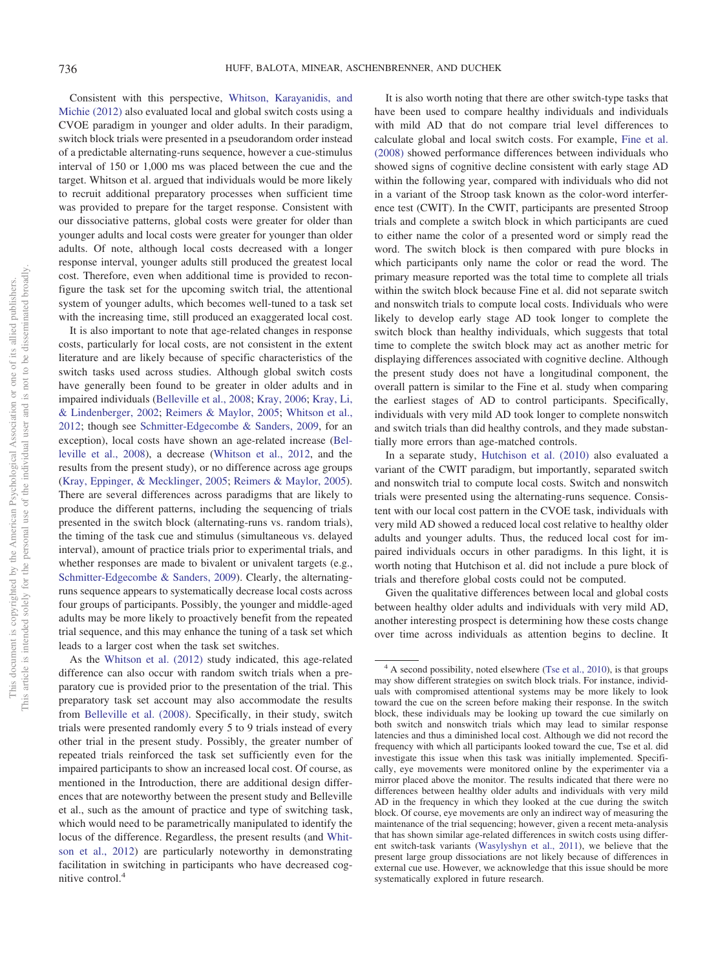Consistent with this perspective, [Whitson, Karayanidis, and](#page-12-26) [Michie \(2012\)](#page-12-26) also evaluated local and global switch costs using a CVOE paradigm in younger and older adults. In their paradigm, switch block trials were presented in a pseudorandom order instead of a predictable alternating-runs sequence, however a cue-stimulus interval of 150 or 1,000 ms was placed between the cue and the target. Whitson et al. argued that individuals would be more likely to recruit additional preparatory processes when sufficient time was provided to prepare for the target response. Consistent with our dissociative patterns, global costs were greater for older than younger adults and local costs were greater for younger than older adults. Of note, although local costs decreased with a longer response interval, younger adults still produced the greatest local cost. Therefore, even when additional time is provided to reconfigure the task set for the upcoming switch trial, the attentional system of younger adults, which becomes well-tuned to a task set with the increasing time, still produced an exaggerated local cost.

It is also important to note that age-related changes in response costs, particularly for local costs, are not consistent in the extent literature and are likely because of specific characteristics of the switch tasks used across studies. Although global switch costs have generally been found to be greater in older adults and in impaired individuals [\(Belleville et al., 2008;](#page-11-3) [Kray, 2006;](#page-11-21) [Kray, Li,](#page-11-22) [& Lindenberger, 2002;](#page-11-22) [Reimers & Maylor, 2005;](#page-12-9) [Whitson et al.,](#page-12-26) [2012;](#page-12-26) though see [Schmitter-Edgecombe & Sanders, 2009,](#page-12-27) for an exception), local costs have shown an age-related increase [\(Bel](#page-11-3)[leville et al., 2008\)](#page-11-3), a decrease [\(Whitson et al., 2012,](#page-12-26) and the results from the present study), or no difference across age groups [\(Kray, Eppinger, & Mecklinger, 2005;](#page-11-23) [Reimers & Maylor, 2005\)](#page-12-9). There are several differences across paradigms that are likely to produce the different patterns, including the sequencing of trials presented in the switch block (alternating-runs vs. random trials), the timing of the task cue and stimulus (simultaneous vs. delayed interval), amount of practice trials prior to experimental trials, and whether responses are made to bivalent or univalent targets (e.g., [Schmitter-Edgecombe & Sanders, 2009\)](#page-12-27). Clearly, the alternatingruns sequence appears to systematically decrease local costs across four groups of participants. Possibly, the younger and middle-aged adults may be more likely to proactively benefit from the repeated trial sequence, and this may enhance the tuning of a task set which leads to a larger cost when the task set switches.

As the [Whitson et al. \(2012\)](#page-12-26) study indicated, this age-related difference can also occur with random switch trials when a preparatory cue is provided prior to the presentation of the trial. This preparatory task set account may also accommodate the results from [Belleville et al. \(2008\).](#page-11-3) Specifically, in their study, switch trials were presented randomly every 5 to 9 trials instead of every other trial in the present study. Possibly, the greater number of repeated trials reinforced the task set sufficiently even for the impaired participants to show an increased local cost. Of course, as mentioned in the Introduction, there are additional design differences that are noteworthy between the present study and Belleville et al., such as the amount of practice and type of switching task, which would need to be parametrically manipulated to identify the locus of the difference. Regardless, the present results (and [Whit](#page-12-26)[son et al., 2012\)](#page-12-26) are particularly noteworthy in demonstrating facilitation in switching in participants who have decreased cognitive control.4

It is also worth noting that there are other switch-type tasks that have been used to compare healthy individuals and individuals with mild AD that do not compare trial level differences to calculate global and local switch costs. For example, [Fine et al.](#page-11-24) [\(2008\)](#page-11-24) showed performance differences between individuals who showed signs of cognitive decline consistent with early stage AD within the following year, compared with individuals who did not in a variant of the Stroop task known as the color-word interference test (CWIT). In the CWIT, participants are presented Stroop trials and complete a switch block in which participants are cued to either name the color of a presented word or simply read the word. The switch block is then compared with pure blocks in which participants only name the color or read the word. The primary measure reported was the total time to complete all trials within the switch block because Fine et al. did not separate switch and nonswitch trials to compute local costs. Individuals who were likely to develop early stage AD took longer to complete the switch block than healthy individuals, which suggests that total time to complete the switch block may act as another metric for displaying differences associated with cognitive decline. Although the present study does not have a longitudinal component, the overall pattern is similar to the Fine et al. study when comparing the earliest stages of AD to control participants. Specifically, individuals with very mild AD took longer to complete nonswitch and switch trials than did healthy controls, and they made substantially more errors than age-matched controls.

In a separate study, [Hutchison et al. \(2010\)](#page-11-15) also evaluated a variant of the CWIT paradigm, but importantly, separated switch and nonswitch trial to compute local costs. Switch and nonswitch trials were presented using the alternating-runs sequence. Consistent with our local cost pattern in the CVOE task, individuals with very mild AD showed a reduced local cost relative to healthy older adults and younger adults. Thus, the reduced local cost for impaired individuals occurs in other paradigms. In this light, it is worth noting that Hutchison et al. did not include a pure block of trials and therefore global costs could not be computed.

Given the qualitative differences between local and global costs between healthy older adults and individuals with very mild AD, another interesting prospect is determining how these costs change over time across individuals as attention begins to decline. It

 $4 \text{ A second possibility, noted elsewhere (Tse et al., 2010), is that groups}$  $4 \text{ A second possibility, noted elsewhere (Tse et al., 2010), is that groups}$  $4 \text{ A second possibility, noted elsewhere (Tse et al., 2010), is that groups}$ may show different strategies on switch block trials. For instance, individuals with compromised attentional systems may be more likely to look toward the cue on the screen before making their response. In the switch block, these individuals may be looking up toward the cue similarly on both switch and nonswitch trials which may lead to similar response latencies and thus a diminished local cost. Although we did not record the frequency with which all participants looked toward the cue, Tse et al. did investigate this issue when this task was initially implemented. Specifically, eye movements were monitored online by the experimenter via a mirror placed above the monitor. The results indicated that there were no differences between healthy older adults and individuals with very mild AD in the frequency in which they looked at the cue during the switch block. Of course, eye movements are only an indirect way of measuring the maintenance of the trial sequencing; however, given a recent meta-analysis that has shown similar age-related differences in switch costs using different switch-task variants [\(Wasylyshyn et al., 2011\)](#page-12-7), we believe that the present large group dissociations are not likely because of differences in external cue use. However, we acknowledge that this issue should be more systematically explored in future research.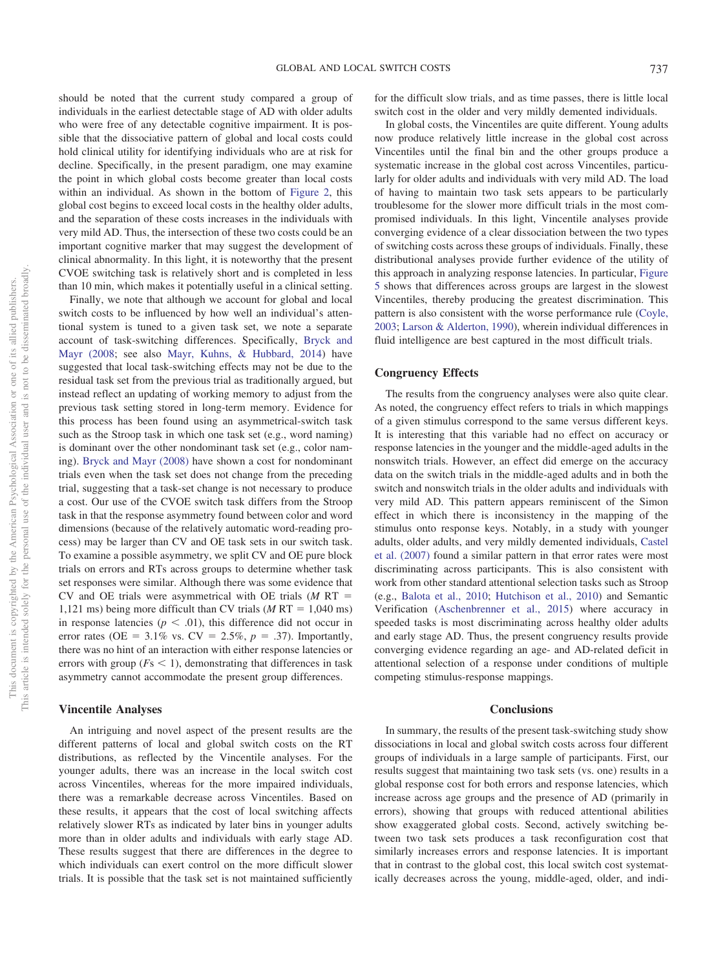should be noted that the current study compared a group of individuals in the earliest detectable stage of AD with older adults who were free of any detectable cognitive impairment. It is possible that the dissociative pattern of global and local costs could hold clinical utility for identifying individuals who are at risk for decline. Specifically, in the present paradigm, one may examine the point in which global costs become greater than local costs within an individual. As shown in the bottom of [Figure 2,](#page-5-0) this global cost begins to exceed local costs in the healthy older adults, and the separation of these costs increases in the individuals with very mild AD. Thus, the intersection of these two costs could be an important cognitive marker that may suggest the development of clinical abnormality. In this light, it is noteworthy that the present CVOE switching task is relatively short and is completed in less than 10 min, which makes it potentially useful in a clinical setting.

Finally, we note that although we account for global and local switch costs to be influenced by how well an individual's attentional system is tuned to a given task set, we note a separate account of task-switching differences. Specifically, [Bryck and](#page-11-25) [Mayr \(2008;](#page-11-25) see also [Mayr, Kuhns, & Hubbard, 2014\)](#page-12-16) have suggested that local task-switching effects may not be due to the residual task set from the previous trial as traditionally argued, but instead reflect an updating of working memory to adjust from the previous task setting stored in long-term memory. Evidence for this process has been found using an asymmetrical-switch task such as the Stroop task in which one task set (e.g., word naming) is dominant over the other nondominant task set (e.g., color naming). [Bryck and Mayr \(2008\)](#page-11-25) have shown a cost for nondominant trials even when the task set does not change from the preceding trial, suggesting that a task-set change is not necessary to produce a cost. Our use of the CVOE switch task differs from the Stroop task in that the response asymmetry found between color and word dimensions (because of the relatively automatic word-reading process) may be larger than CV and OE task sets in our switch task. To examine a possible asymmetry, we split CV and OE pure block trials on errors and RTs across groups to determine whether task set responses were similar. Although there was some evidence that CV and OE trials were asymmetrical with OE trials  $(M RT =$ 1,121 ms) being more difficult than CV trials  $(M RT = 1,040 \text{ ms})$ in response latencies ( $p < .01$ ), this difference did not occur in error rates (OE =  $3.1\%$  vs. CV =  $2.5\%, p = .37$ ). Importantly, there was no hint of an interaction with either response latencies or errors with group ( $Fs < 1$ ), demonstrating that differences in task asymmetry cannot accommodate the present group differences.

## **Vincentile Analyses**

An intriguing and novel aspect of the present results are the different patterns of local and global switch costs on the RT distributions, as reflected by the Vincentile analyses. For the younger adults, there was an increase in the local switch cost across Vincentiles, whereas for the more impaired individuals, there was a remarkable decrease across Vincentiles. Based on these results, it appears that the cost of local switching affects relatively slower RTs as indicated by later bins in younger adults more than in older adults and individuals with early stage AD. These results suggest that there are differences in the degree to which individuals can exert control on the more difficult slower trials. It is possible that the task set is not maintained sufficiently

for the difficult slow trials, and as time passes, there is little local switch cost in the older and very mildly demented individuals.

In global costs, the Vincentiles are quite different. Young adults now produce relatively little increase in the global cost across Vincentiles until the final bin and the other groups produce a systematic increase in the global cost across Vincentiles, particularly for older adults and individuals with very mild AD. The load of having to maintain two task sets appears to be particularly troublesome for the slower more difficult trials in the most compromised individuals. In this light, Vincentile analyses provide converging evidence of a clear dissociation between the two types of switching costs across these groups of individuals. Finally, these distributional analyses provide further evidence of the utility of this approach in analyzing response latencies. In particular, [Figure](#page-7-0) [5](#page-7-0) shows that differences across groups are largest in the slowest Vincentiles, thereby producing the greatest discrimination. This pattern is also consistent with the worse performance rule [\(Coyle,](#page-11-26) [2003;](#page-11-26) [Larson & Alderton, 1990\)](#page-11-27), wherein individual differences in fluid intelligence are best captured in the most difficult trials.

## **Congruency Effects**

The results from the congruency analyses were also quite clear. As noted, the congruency effect refers to trials in which mappings of a given stimulus correspond to the same versus different keys. It is interesting that this variable had no effect on accuracy or response latencies in the younger and the middle-aged adults in the nonswitch trials. However, an effect did emerge on the accuracy data on the switch trials in the middle-aged adults and in both the switch and nonswitch trials in the older adults and individuals with very mild AD. This pattern appears reminiscent of the Simon effect in which there is inconsistency in the mapping of the stimulus onto response keys. Notably, in a study with younger adults, older adults, and very mildly demented individuals, [Castel](#page-11-14) [et al. \(2007\)](#page-11-14) found a similar pattern in that error rates were most discriminating across participants. This is also consistent with work from other standard attentional selection tasks such as Stroop (e.g., [Balota et al., 2010;](#page-11-7) [Hutchison et al., 2010\)](#page-11-15) and Semantic Verification [\(Aschenbrenner et al., 2015\)](#page-11-28) where accuracy in speeded tasks is most discriminating across healthy older adults and early stage AD. Thus, the present congruency results provide converging evidence regarding an age- and AD-related deficit in attentional selection of a response under conditions of multiple competing stimulus-response mappings.

## **Conclusions**

In summary, the results of the present task-switching study show dissociations in local and global switch costs across four different groups of individuals in a large sample of participants. First, our results suggest that maintaining two task sets (vs. one) results in a global response cost for both errors and response latencies, which increase across age groups and the presence of AD (primarily in errors), showing that groups with reduced attentional abilities show exaggerated global costs. Second, actively switching between two task sets produces a task reconfiguration cost that similarly increases errors and response latencies. It is important that in contrast to the global cost, this local switch cost systematically decreases across the young, middle-aged, older, and indi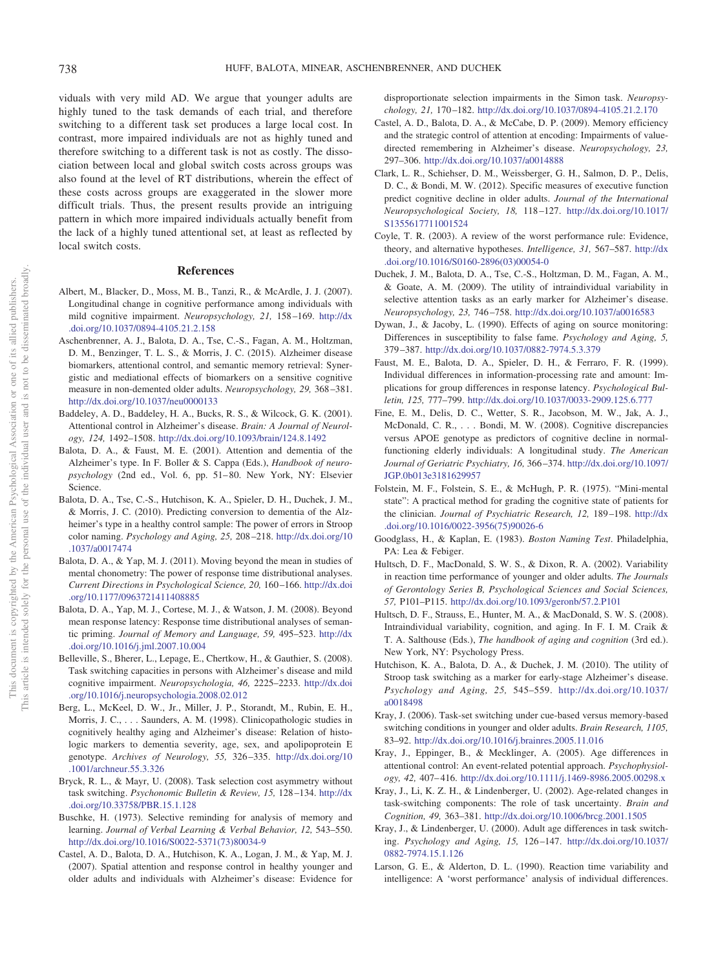viduals with very mild AD. We argue that younger adults are highly tuned to the task demands of each trial, and therefore switching to a different task set produces a large local cost. In contrast, more impaired individuals are not as highly tuned and therefore switching to a different task is not as costly. The dissociation between local and global switch costs across groups was also found at the level of RT distributions, wherein the effect of these costs across groups are exaggerated in the slower more difficult trials. Thus, the present results provide an intriguing pattern in which more impaired individuals actually benefit from the lack of a highly tuned attentional set, at least as reflected by local switch costs.

#### **References**

- <span id="page-11-0"></span>Albert, M., Blacker, D., Moss, M. B., Tanzi, R., & McArdle, J. J. (2007). Longitudinal change in cognitive performance among individuals with mild cognitive impairment. *Neuropsychology, 21,* 158 –169. [http://dx](http://dx.doi.org/10.1037/0894-4105.21.2.158) [.doi.org/10.1037/0894-4105.21.2.158](http://dx.doi.org/10.1037/0894-4105.21.2.158)
- <span id="page-11-28"></span>Aschenbrenner, A. J., Balota, D. A., Tse, C.-S., Fagan, A. M., Holtzman, D. M., Benzinger, T. L. S., & Morris, J. C. (2015). Alzheimer disease biomarkers, attentional control, and semantic memory retrieval: Synergistic and mediational effects of biomarkers on a sensitive cognitive measure in non-demented older adults. *Neuropsychology, 29,* 368 –381. <http://dx.doi.org/10.1037/neu0000133>
- <span id="page-11-1"></span>Baddeley, A. D., Baddeley, H. A., Bucks, R. S., & Wilcock, G. K. (2001). Attentional control in Alzheimer's disease. *Brain: A Journal of Neurology, 124,* 1492–1508. <http://dx.doi.org/10.1093/brain/124.8.1492>
- <span id="page-11-2"></span>Balota, D. A., & Faust, M. E. (2001). Attention and dementia of the Alzheimer's type. In F. Boller & S. Cappa (Eds.), *Handbook of neuropsychology* (2nd ed., Vol. 6, pp. 51– 80. New York, NY: Elsevier Science.
- <span id="page-11-7"></span>Balota, D. A., Tse, C.-S., Hutchison, K. A., Spieler, D. H., Duchek, J. M., & Morris, J. C. (2010). Predicting conversion to dementia of the Alzheimer's type in a healthy control sample: The power of errors in Stroop color naming. *Psychology and Aging, 25,* 208 –218. [http://dx.doi.org/10](http://dx.doi.org/10.1037/a0017474) [.1037/a0017474](http://dx.doi.org/10.1037/a0017474)
- <span id="page-11-12"></span>Balota, D. A., & Yap, M. J. (2011). Moving beyond the mean in studies of mental chonometry: The power of response time distributional analyses. *Current Directions in Psychological Science, 20,* 160 –166. [http://dx.doi](http://dx.doi.org/10.1177/0963721411408885) [.org/10.1177/0963721411408885](http://dx.doi.org/10.1177/0963721411408885)
- <span id="page-11-13"></span>Balota, D. A., Yap, M. J., Cortese, M. J., & Watson, J. M. (2008). Beyond mean response latency: Response time distributional analyses of semantic priming. *Journal of Memory and Language, 59,* 495–523. [http://dx](http://dx.doi.org/10.1016/j.jml.2007.10.004) [.doi.org/10.1016/j.jml.2007.10.004](http://dx.doi.org/10.1016/j.jml.2007.10.004)
- <span id="page-11-3"></span>Belleville, S., Bherer, L., Lepage, E., Chertkow, H., & Gauthier, S. (2008). Task switching capacities in persons with Alzheimer's disease and mild cognitive impairment. *Neuropsychologia, 46,* 2225–2233. [http://dx.doi](http://dx.doi.org/10.1016/j.neuropsychologia.2008.02.012) [.org/10.1016/j.neuropsychologia.2008.02.012](http://dx.doi.org/10.1016/j.neuropsychologia.2008.02.012)
- <span id="page-11-17"></span>Berg, L., McKeel, D. W., Jr., Miller, J. P., Storandt, M., Rubin, E. H., Morris, J. C.,... Saunders, A. M. (1998). Clinicopathologic studies in cognitively healthy aging and Alzheimer's disease: Relation of histologic markers to dementia severity, age, sex, and apolipoprotein E genotype. *Archives of Neurology, 55,* 326 –335. [http://dx.doi.org/10](http://dx.doi.org/10.1001/archneur.55.3.326) [.1001/archneur.55.3.326](http://dx.doi.org/10.1001/archneur.55.3.326)
- <span id="page-11-25"></span>Bryck, R. L., & Mayr, U. (2008). Task selection cost asymmetry without task switching. *Psychonomic Bulletin & Review, 15,* 128 –134. [http://dx](http://dx.doi.org/10.33758/PBR.15.1.128) [.doi.org/10.33758/PBR.15.1.128](http://dx.doi.org/10.33758/PBR.15.1.128)
- <span id="page-11-19"></span>Buschke, H. (1973). Selective reminding for analysis of memory and learning. *Journal of Verbal Learning & Verbal Behavior, 12,* 543–550. [http://dx.doi.org/10.1016/S0022-5371\(73\)80034-9](http://dx.doi.org/10.1016/S0022-5371%2873%2980034-9)
- <span id="page-11-14"></span>Castel, A. D., Balota, D. A., Hutchison, K. A., Logan, J. M., & Yap, M. J. (2007). Spatial attention and response control in healthy younger and older adults and individuals with Alzheimer's disease: Evidence for

disproportionate selection impairments in the Simon task. *Neuropsychology, 21,* 170 –182. <http://dx.doi.org/10.1037/0894-4105.21.2.170>

- <span id="page-11-5"></span>Castel, A. D., Balota, D. A., & McCabe, D. P. (2009). Memory efficiency and the strategic control of attention at encoding: Impairments of valuedirected remembering in Alzheimer's disease. *Neuropsychology, 23,* 297–306. <http://dx.doi.org/10.1037/a0014888>
- <span id="page-11-8"></span>Clark, L. R., Schiehser, D. M., Weissberger, G. H., Salmon, D. P., Delis, D. C., & Bondi, M. W. (2012). Specific measures of executive function predict cognitive decline in older adults. *Journal of the International Neuropsychological Society, 18,* 118 –127. [http://dx.doi.org/10.1017/](http://dx.doi.org/10.1017/S1355617711001524) [S1355617711001524](http://dx.doi.org/10.1017/S1355617711001524)
- <span id="page-11-26"></span>Coyle, T. R. (2003). A review of the worst performance rule: Evidence, theory, and alternative hypotheses. *Intelligence, 31,* 567–587. [http://dx](http://dx.doi.org/10.1016/S0160-2896%2803%2900054-0) [.doi.org/10.1016/S0160-2896\(03\)00054-0](http://dx.doi.org/10.1016/S0160-2896%2803%2900054-0)
- <span id="page-11-4"></span>Duchek, J. M., Balota, D. A., Tse, C.-S., Holtzman, D. M., Fagan, A. M., & Goate, A. M. (2009). The utility of intraindividual variability in selective attention tasks as an early marker for Alzheimer's disease. *Neuropsychology, 23,* 746 –758. <http://dx.doi.org/10.1037/a0016583>
- <span id="page-11-6"></span>Dywan, J., & Jacoby, L. (1990). Effects of aging on source monitoring: Differences in susceptibility to false fame. *Psychology and Aging, 5,* 379 –387. <http://dx.doi.org/10.1037/0882-7974.5.3.379>
- <span id="page-11-20"></span>Faust, M. E., Balota, D. A., Spieler, D. H., & Ferraro, F. R. (1999). Individual differences in information-processing rate and amount: Implications for group differences in response latency. *Psychological Bulletin, 125,* 777–799. <http://dx.doi.org/10.1037/0033-2909.125.6.777>
- <span id="page-11-24"></span>Fine, E. M., Delis, D. C., Wetter, S. R., Jacobson, M. W., Jak, A. J., McDonald, C. R.,... Bondi, M. W. (2008). Cognitive discrepancies versus APOE genotype as predictors of cognitive decline in normalfunctioning elderly individuals: A longitudinal study. *The American Journal of Geriatric Psychiatry, 16,* 366 –374. [http://dx.doi.org/10.1097/](http://dx.doi.org/10.1097/JGP.0b013e3181629957) [JGP.0b013e3181629957](http://dx.doi.org/10.1097/JGP.0b013e3181629957)
- <span id="page-11-16"></span>Folstein, M. F., Folstein, S. E., & McHugh, P. R. (1975). "Mini-mental state": A practical method for grading the cognitive state of patients for the clinician. *Journal of Psychiatric Research, 12,* 189 –198. [http://dx](http://dx.doi.org/10.1016/0022-3956%2875%2990026-6) [.doi.org/10.1016/0022-3956\(75\)90026-6](http://dx.doi.org/10.1016/0022-3956%2875%2990026-6)
- <span id="page-11-18"></span>Goodglass, H., & Kaplan, E. (1983). *Boston Naming Test*. Philadelphia, PA: Lea & Febiger.
- <span id="page-11-10"></span>Hultsch, D. F., MacDonald, S. W. S., & Dixon, R. A. (2002). Variability in reaction time performance of younger and older adults. *The Journals of Gerontology Series B, Psychological Sciences and Social Sciences, 57,* P101–P115. <http://dx.doi.org/10.1093/geronb/57.2.P101>
- <span id="page-11-11"></span>Hultsch, D. F., Strauss, E., Hunter, M. A., & MacDonald, S. W. S. (2008). Intraindividual variability, cognition, and aging. In F. I. M. Craik & T. A. Salthouse (Eds.), *The handbook of aging and cognition* (3rd ed.). New York, NY: Psychology Press.
- <span id="page-11-15"></span>Hutchison, K. A., Balota, D. A., & Duchek, J. M. (2010). The utility of Stroop task switching as a marker for early-stage Alzheimer's disease. *Psychology and Aging, 25,* 545–559. [http://dx.doi.org/10.1037/](http://dx.doi.org/10.1037/a0018498) [a0018498](http://dx.doi.org/10.1037/a0018498)
- <span id="page-11-21"></span>Kray, J. (2006). Task-set switching under cue-based versus memory-based switching conditions in younger and older adults. *Brain Research, 1105,* 83–92. <http://dx.doi.org/10.1016/j.brainres.2005.11.016>
- <span id="page-11-23"></span>Kray, J., Eppinger, B., & Mecklinger, A. (2005). Age differences in attentional control: An event-related potential approach. *Psychophysiology, 42,* 407– 416. <http://dx.doi.org/10.1111/j.1469-8986.2005.00298.x>
- <span id="page-11-22"></span>Kray, J., Li, K. Z. H., & Lindenberger, U. (2002). Age-related changes in task-switching components: The role of task uncertainty. *Brain and Cognition, 49,* 363–381. <http://dx.doi.org/10.1006/brcg.2001.1505>
- <span id="page-11-9"></span>Kray, J., & Lindenberger, U. (2000). Adult age differences in task switching. *Psychology and Aging, 15,* 126 –147. [http://dx.doi.org/10.1037/](http://dx.doi.org/10.1037/0882-7974.15.1.126) [0882-7974.15.1.126](http://dx.doi.org/10.1037/0882-7974.15.1.126)
- <span id="page-11-27"></span>Larson, G. E., & Alderton, D. L. (1990). Reaction time variability and intelligence: A 'worst performance' analysis of individual differences.